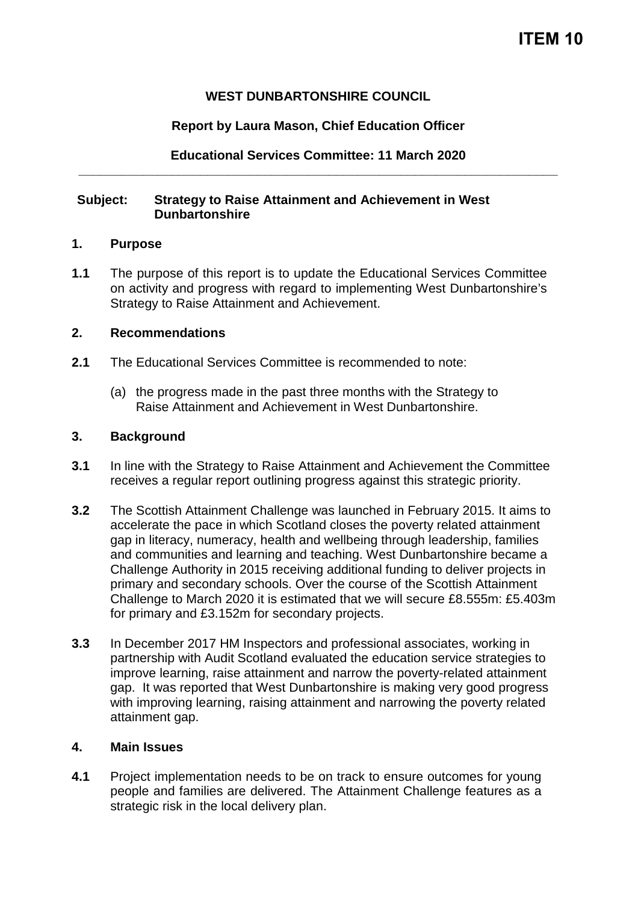# **WEST DUNBARTONSHIRE COUNCIL**

# **Report by Laura Mason, Chief Education Officer**

**Educational Services Committee: 11 March 2020 \_\_\_\_\_\_\_\_\_\_\_\_\_\_\_\_\_\_\_\_\_\_\_\_\_\_\_\_\_\_\_\_\_\_\_\_\_\_\_\_\_\_\_\_\_\_\_\_\_\_\_\_\_\_\_\_\_\_\_\_\_\_\_\_\_\_\_**

## **Subject: Strategy to Raise Attainment and Achievement in West Dunbartonshire**

### **1. Purpose**

**1.1** The purpose of this report is to update the Educational Services Committee on activity and progress with regard to implementing West Dunbartonshire's Strategy to Raise Attainment and Achievement.

## **2. Recommendations**

- **2.1** The Educational Services Committee is recommended to note:
	- (a) the progress made in the past three months with the Strategy to Raise Attainment and Achievement in West Dunbartonshire.

### **3. Background**

- **3.1** In line with the Strategy to Raise Attainment and Achievement the Committee receives a regular report outlining progress against this strategic priority.
- **3.2** The Scottish Attainment Challenge was launched in February 2015. It aims to accelerate the pace in which Scotland closes the poverty related attainment gap in literacy, numeracy, health and wellbeing through leadership, families and communities and learning and teaching. West Dunbartonshire became a Challenge Authority in 2015 receiving additional funding to deliver projects in primary and secondary schools. Over the course of the Scottish Attainment Challenge to March 2020 it is estimated that we will secure £8.555m: £5.403m for primary and £3.152m for secondary projects.
- **3.3** In December 2017 HM Inspectors and professional associates, working in partnership with Audit Scotland evaluated the education service strategies to improve learning, raise attainment and narrow the poverty-related attainment gap. It was reported that West Dunbartonshire is making very good progress with improving learning, raising attainment and narrowing the poverty related attainment gap.

## **4. Main Issues**

**4.1** Project implementation needs to be on track to ensure outcomes for young people and families are delivered. The Attainment Challenge features as a strategic risk in the local delivery plan.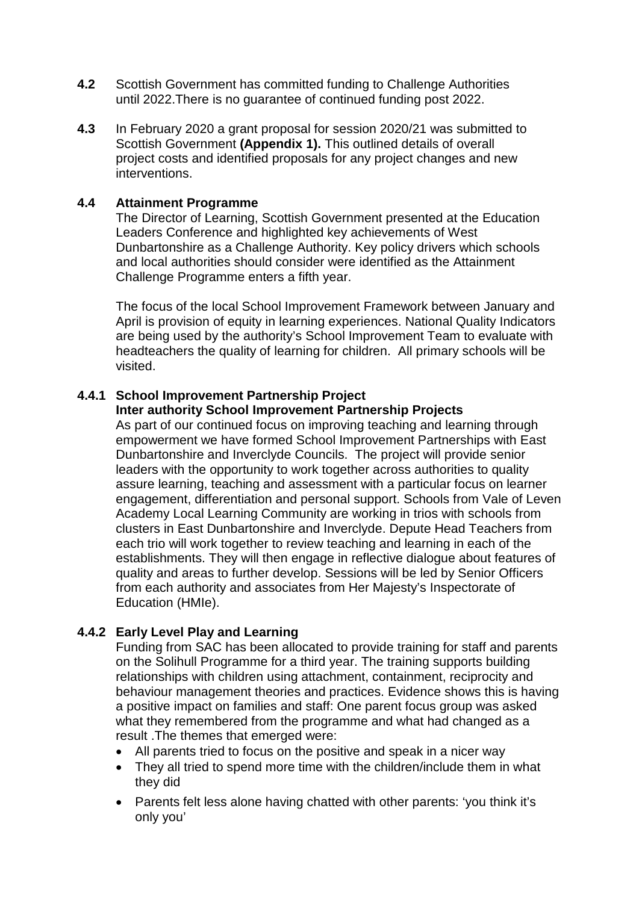- **4.2** Scottish Government has committed funding to Challenge Authorities until 2022.There is no guarantee of continued funding post 2022.
- **4.3** In February 2020 a grant proposal for session 2020/21 was submitted to Scottish Government **(Appendix 1).** This outlined details of overall project costs and identified proposals for any project changes and new interventions.

### **4.4 Attainment Programme**

The Director of Learning, Scottish Government presented at the Education Leaders Conference and highlighted key achievements of West Dunbartonshire as a Challenge Authority. Key policy drivers which schools and local authorities should consider were identified as the Attainment Challenge Programme enters a fifth year.

The focus of the local School Improvement Framework between January and April is provision of equity in learning experiences. National Quality Indicators are being used by the authority's School Improvement Team to evaluate with headteachers the quality of learning for children. All primary schools will be visited.

### **4.4.1 School Improvement Partnership Project**

#### **Inter authority School Improvement Partnership Projects**

As part of our continued focus on improving teaching and learning through empowerment we have formed School Improvement Partnerships with East Dunbartonshire and Inverclyde Councils. The project will provide senior leaders with the opportunity to work together across authorities to quality assure learning, teaching and assessment with a particular focus on learner engagement, differentiation and personal support. Schools from Vale of Leven Academy Local Learning Community are working in trios with schools from clusters in East Dunbartonshire and Inverclyde. Depute Head Teachers from each trio will work together to review teaching and learning in each of the establishments. They will then engage in reflective dialogue about features of quality and areas to further develop. Sessions will be led by Senior Officers from each authority and associates from Her Majesty's Inspectorate of Education (HMIe).

## **4.4.2 Early Level Play and Learning**

Funding from SAC has been allocated to provide training for staff and parents on the Solihull Programme for a third year. The training supports building relationships with children using attachment, containment, reciprocity and behaviour management theories and practices. Evidence shows this is having a positive impact on families and staff: One parent focus group was asked what they remembered from the programme and what had changed as a result .The themes that emerged were:

- All parents tried to focus on the positive and speak in a nicer way
- They all tried to spend more time with the children/include them in what they did
- Parents felt less alone having chatted with other parents: 'you think it's only you'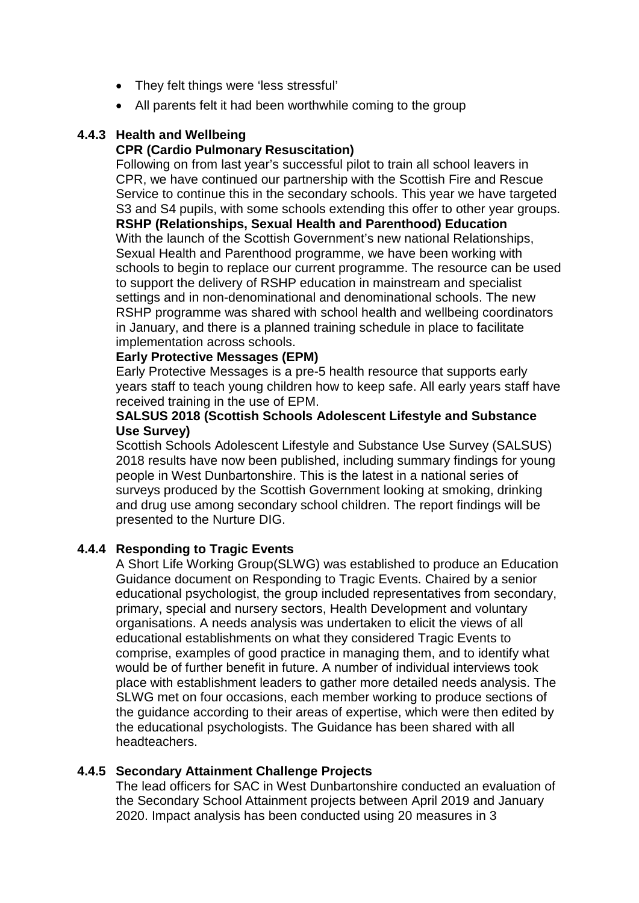- They felt things were 'less stressful'
- All parents felt it had been worthwhile coming to the group

# **4.4.3 Health and Wellbeing**

# **CPR (Cardio Pulmonary Resuscitation)**

Following on from last year's successful pilot to train all school leavers in CPR, we have continued our partnership with the Scottish Fire and Rescue Service to continue this in the secondary schools. This year we have targeted S3 and S4 pupils, with some schools extending this offer to other year groups. **RSHP (Relationships, Sexual Health and Parenthood) Education** With the launch of the Scottish Government's new national Relationships,

Sexual Health and Parenthood programme, we have been working with schools to begin to replace our current programme. The resource can be used to support the delivery of RSHP education in mainstream and specialist settings and in non-denominational and denominational schools. The new RSHP programme was shared with school health and wellbeing coordinators in January, and there is a planned training schedule in place to facilitate implementation across schools.

# **Early Protective Messages (EPM)**

Early Protective Messages is a pre-5 health resource that supports early years staff to teach young children how to keep safe. All early years staff have received training in the use of EPM.

## **SALSUS 2018 (Scottish Schools Adolescent Lifestyle and Substance Use Survey)**

Scottish Schools Adolescent Lifestyle and Substance Use Survey (SALSUS) 2018 results have now been published, including summary findings for young people in West Dunbartonshire. This is the latest in a national series of surveys produced by the Scottish Government looking at smoking, drinking and drug use among secondary school children. The report findings will be presented to the Nurture DIG.

# **4.4.4 Responding to Tragic Events**

A Short Life Working Group(SLWG) was established to produce an Education Guidance document on Responding to Tragic Events. Chaired by a senior educational psychologist, the group included representatives from secondary, primary, special and nursery sectors, Health Development and voluntary organisations. A needs analysis was undertaken to elicit the views of all educational establishments on what they considered Tragic Events to comprise, examples of good practice in managing them, and to identify what would be of further benefit in future. A number of individual interviews took place with establishment leaders to gather more detailed needs analysis. The SLWG met on four occasions, each member working to produce sections of the guidance according to their areas of expertise, which were then edited by the educational psychologists. The Guidance has been shared with all headteachers.

## **4.4.5 Secondary Attainment Challenge Projects**

The lead officers for SAC in West Dunbartonshire conducted an evaluation of the Secondary School Attainment projects between April 2019 and January 2020. Impact analysis has been conducted using 20 measures in 3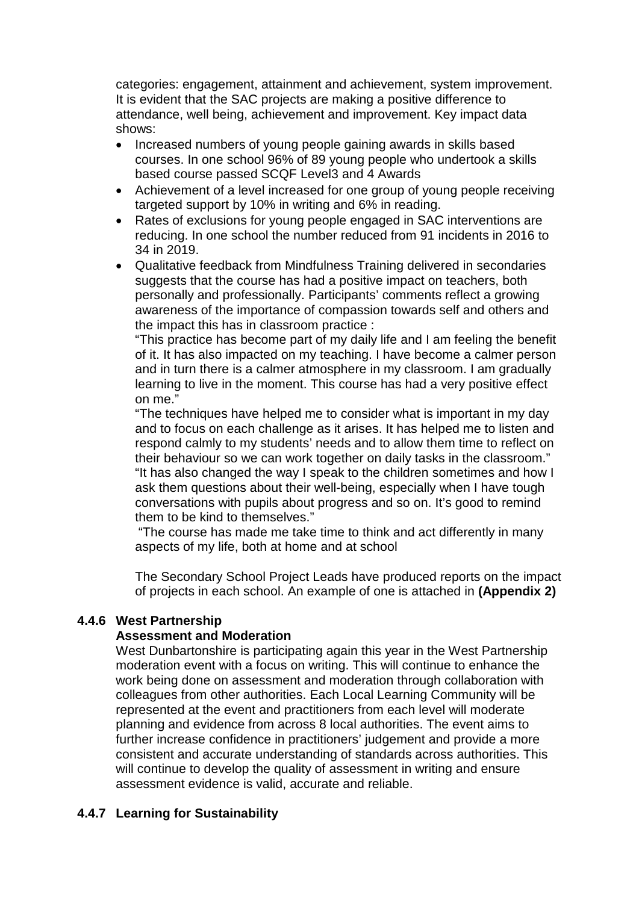categories: engagement, attainment and achievement, system improvement. It is evident that the SAC projects are making a positive difference to attendance, well being, achievement and improvement. Key impact data shows:

- Increased numbers of young people gaining awards in skills based courses. In one school 96% of 89 young people who undertook a skills based course passed SCQF Level3 and 4 Awards
- Achievement of a level increased for one group of young people receiving targeted support by 10% in writing and 6% in reading.
- Rates of exclusions for young people engaged in SAC interventions are reducing. In one school the number reduced from 91 incidents in 2016 to 34 in 2019.
- Qualitative feedback from Mindfulness Training delivered in secondaries suggests that the course has had a positive impact on teachers, both personally and professionally. Participants' comments reflect a growing awareness of the importance of compassion towards self and others and the impact this has in classroom practice :

"This practice has become part of my daily life and I am feeling the benefit of it. It has also impacted on my teaching. I have become a calmer person and in turn there is a calmer atmosphere in my classroom. I am gradually learning to live in the moment. This course has had a very positive effect on me."

"The techniques have helped me to consider what is important in my day and to focus on each challenge as it arises. It has helped me to listen and respond calmly to my students' needs and to allow them time to reflect on their behaviour so we can work together on daily tasks in the classroom." "It has also changed the way I speak to the children sometimes and how I ask them questions about their well-being, especially when I have tough conversations with pupils about progress and so on. It's good to remind them to be kind to themselves."

"The course has made me take time to think and act differently in many aspects of my life, both at home and at school

The Secondary School Project Leads have produced reports on the impact of projects in each school. An example of one is attached in **(Appendix 2)**

# **4.4.6 West Partnership**

## **Assessment and Moderation**

West Dunbartonshire is participating again this year in the West Partnership moderation event with a focus on writing. This will continue to enhance the work being done on assessment and moderation through collaboration with colleagues from other authorities. Each Local Learning Community will be represented at the event and practitioners from each level will moderate planning and evidence from across 8 local authorities. The event aims to further increase confidence in practitioners' judgement and provide a more consistent and accurate understanding of standards across authorities. This will continue to develop the quality of assessment in writing and ensure assessment evidence is valid, accurate and reliable.

# **4.4.7 Learning for Sustainability**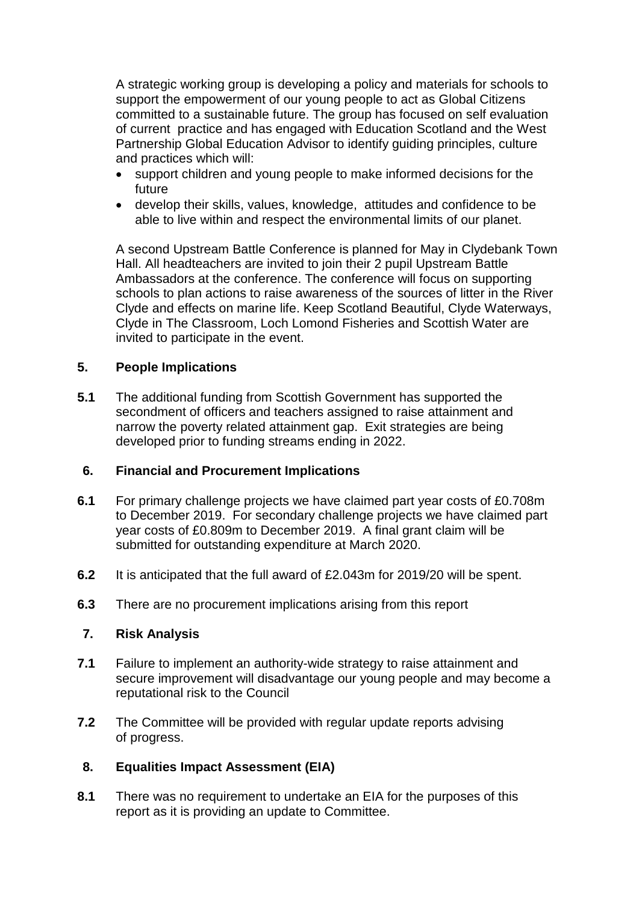A strategic working group is developing a policy and materials for schools to support the empowerment of our young people to act as Global Citizens committed to a sustainable future. The group has focused on self evaluation of current practice and has engaged with Education Scotland and the West Partnership Global Education Advisor to identify guiding principles, culture and practices which will:

- support children and young people to make informed decisions for the future
- develop their skills, values, knowledge, attitudes and confidence to be able to live within and respect the environmental limits of our planet.

A second Upstream Battle Conference is planned for May in Clydebank Town Hall. All headteachers are invited to join their 2 pupil Upstream Battle Ambassadors at the conference. The conference will focus on supporting schools to plan actions to raise awareness of the sources of litter in the River Clyde and effects on marine life. Keep Scotland Beautiful, Clyde Waterways, Clyde in The Classroom, Loch Lomond Fisheries and Scottish Water are invited to participate in the event.

# **5. People Implications**

**5.1** The additional funding from Scottish Government has supported the secondment of officers and teachers assigned to raise attainment and narrow the poverty related attainment gap. Exit strategies are being developed prior to funding streams ending in 2022.

## **6. Financial and Procurement Implications**

- **6.1** For primary challenge projects we have claimed part year costs of £0.708m to December 2019. For secondary challenge projects we have claimed part year costs of £0.809m to December 2019. A final grant claim will be submitted for outstanding expenditure at March 2020.
- **6.2** It is anticipated that the full award of £2.043m for 2019/20 will be spent.
- **6.3** There are no procurement implications arising from this report

## **7. Risk Analysis**

- **7.1** Failure to implement an authority-wide strategy to raise attainment and secure improvement will disadvantage our young people and may become a reputational risk to the Council
- **7.2** The Committee will be provided with regular update reports advising of progress.

## **8. Equalities Impact Assessment (EIA)**

**8.1** There was no requirement to undertake an EIA for the purposes of this report as it is providing an update to Committee.